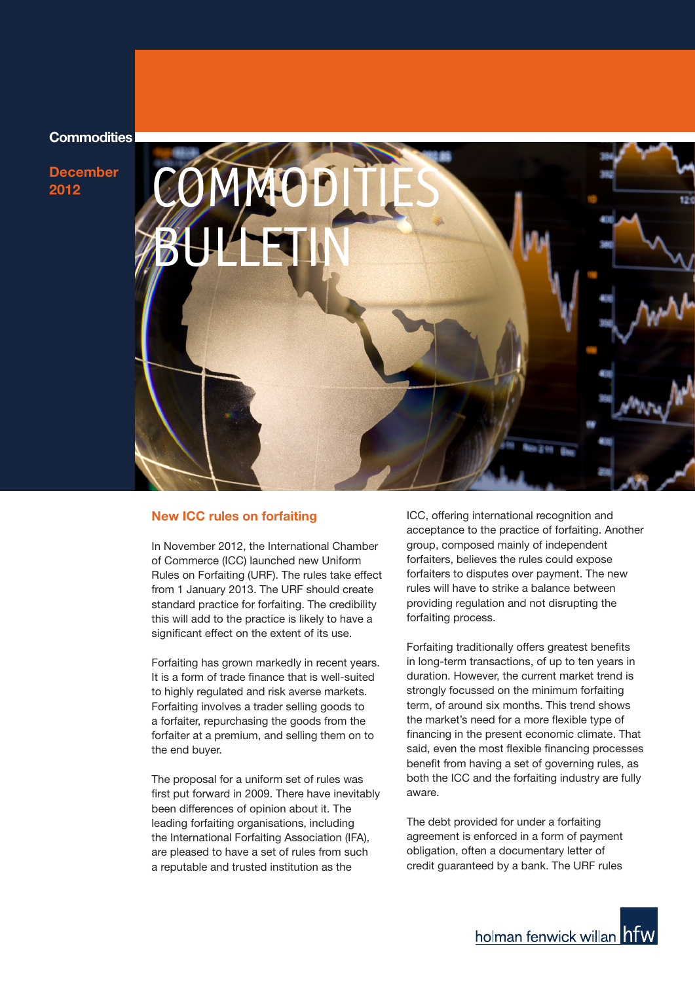# **Commodities**

**December 2012**



#### **New ICC rules on forfaiting**

In November 2012, the International Chamber of Commerce (ICC) launched new Uniform Rules on Forfaiting (URF). The rules take effect from 1 January 2013. The URF should create standard practice for forfaiting. The credibility this will add to the practice is likely to have a significant effect on the extent of its use.

Forfaiting has grown markedly in recent years. It is a form of trade finance that is well-suited to highly regulated and risk averse markets. Forfaiting involves a trader selling goods to a forfaiter, repurchasing the goods from the forfaiter at a premium, and selling them on to the end buyer.

The proposal for a uniform set of rules was first put forward in 2009. There have inevitably been differences of opinion about it. The leading forfaiting organisations, including the International Forfaiting Association (IFA), are pleased to have a set of rules from such a reputable and trusted institution as the

ICC, offering international recognition and acceptance to the practice of forfaiting. Another group, composed mainly of independent forfaiters, believes the rules could expose forfaiters to disputes over payment. The new rules will have to strike a balance between providing regulation and not disrupting the forfaiting process.

Forfaiting traditionally offers greatest benefits in long-term transactions, of up to ten years in duration. However, the current market trend is strongly focussed on the minimum forfaiting term, of around six months. This trend shows the market's need for a more flexible type of financing in the present economic climate. That said, even the most flexible financing processes benefit from having a set of governing rules, as both the ICC and the forfaiting industry are fully aware.

The debt provided for under a forfaiting agreement is enforced in a form of payment obligation, often a documentary letter of credit guaranteed by a bank. The URF rules

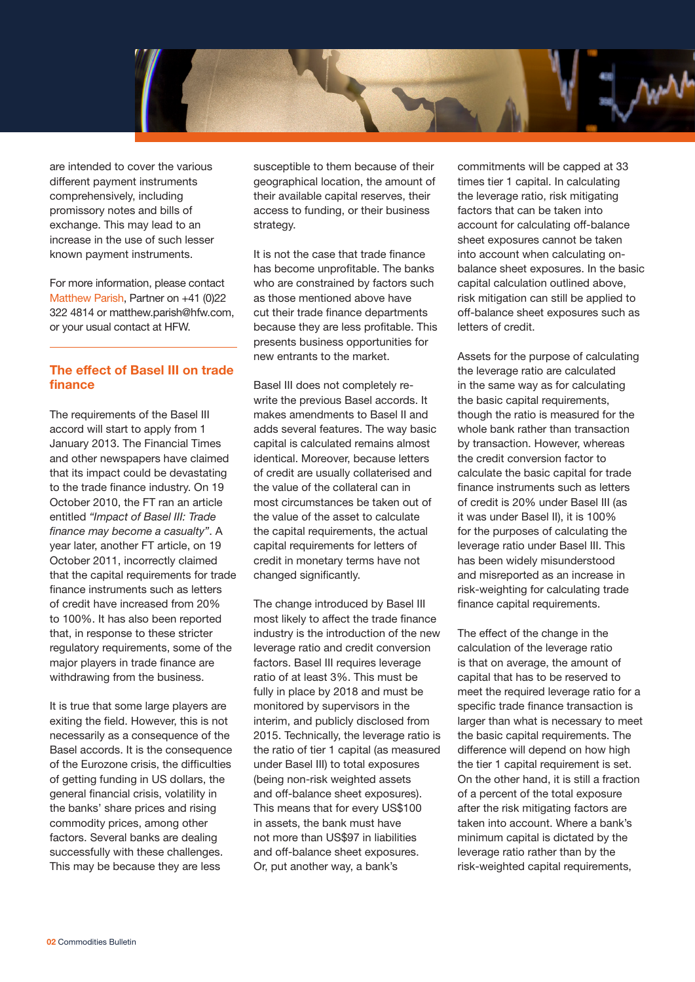

are intended to cover the various different payment instruments comprehensively, including promissory notes and bills of exchange. This may lead to an increase in the use of such lesser known payment instruments.

For more information, please contact Matthew Parish, Partner on +41 (0)22 322 4814 or matthew.parish@hfw.com, or your usual contact at HFW.

## **The effect of Basel III on trade finance**

The requirements of the Basel III accord will start to apply from 1 January 2013. The Financial Times and other newspapers have claimed that its impact could be devastating to the trade finance industry. On 19 October 2010, the FT ran an article entitled *"Impact of Basel III: Trade finance may become a casualty"*. A year later, another FT article, on 19 October 2011, incorrectly claimed that the capital requirements for trade finance instruments such as letters of credit have increased from 20% to 100%. It has also been reported that, in response to these stricter regulatory requirements, some of the major players in trade finance are withdrawing from the business.

It is true that some large players are exiting the field. However, this is not necessarily as a consequence of the Basel accords. It is the consequence of the Eurozone crisis, the difficulties of getting funding in US dollars, the general financial crisis, volatility in the banks' share prices and rising commodity prices, among other factors. Several banks are dealing successfully with these challenges. This may be because they are less

susceptible to them because of their geographical location, the amount of their available capital reserves, their access to funding, or their business strategy.

It is not the case that trade finance has become unprofitable. The banks who are constrained by factors such as those mentioned above have cut their trade finance departments because they are less profitable. This presents business opportunities for new entrants to the market.

Basel III does not completely rewrite the previous Basel accords. It makes amendments to Basel II and adds several features. The way basic capital is calculated remains almost identical. Moreover, because letters of credit are usually collaterised and the value of the collateral can in most circumstances be taken out of the value of the asset to calculate the capital requirements, the actual capital requirements for letters of credit in monetary terms have not changed significantly.

The change introduced by Basel III most likely to affect the trade finance industry is the introduction of the new leverage ratio and credit conversion factors. Basel III requires leverage ratio of at least 3%. This must be fully in place by 2018 and must be monitored by supervisors in the interim, and publicly disclosed from 2015. Technically, the leverage ratio is the ratio of tier 1 capital (as measured under Basel III) to total exposures (being non-risk weighted assets and off-balance sheet exposures). This means that for every US\$100 in assets, the bank must have not more than US\$97 in liabilities and off-balance sheet exposures. Or, put another way, a bank's

commitments will be capped at 33 times tier 1 capital. In calculating the leverage ratio, risk mitigating factors that can be taken into account for calculating off-balance sheet exposures cannot be taken into account when calculating onbalance sheet exposures. In the basic capital calculation outlined above, risk mitigation can still be applied to off-balance sheet exposures such as letters of credit.

Assets for the purpose of calculating the leverage ratio are calculated in the same way as for calculating the basic capital requirements, though the ratio is measured for the whole bank rather than transaction by transaction. However, whereas the credit conversion factor to calculate the basic capital for trade finance instruments such as letters of credit is 20% under Basel III (as it was under Basel II), it is 100% for the purposes of calculating the leverage ratio under Basel III. This has been widely misunderstood and misreported as an increase in risk-weighting for calculating trade finance capital requirements.

The effect of the change in the calculation of the leverage ratio is that on average, the amount of capital that has to be reserved to meet the required leverage ratio for a specific trade finance transaction is larger than what is necessary to meet the basic capital requirements. The difference will depend on how high the tier 1 capital requirement is set. On the other hand, it is still a fraction of a percent of the total exposure after the risk mitigating factors are taken into account. Where a bank's minimum capital is dictated by the leverage ratio rather than by the risk-weighted capital requirements,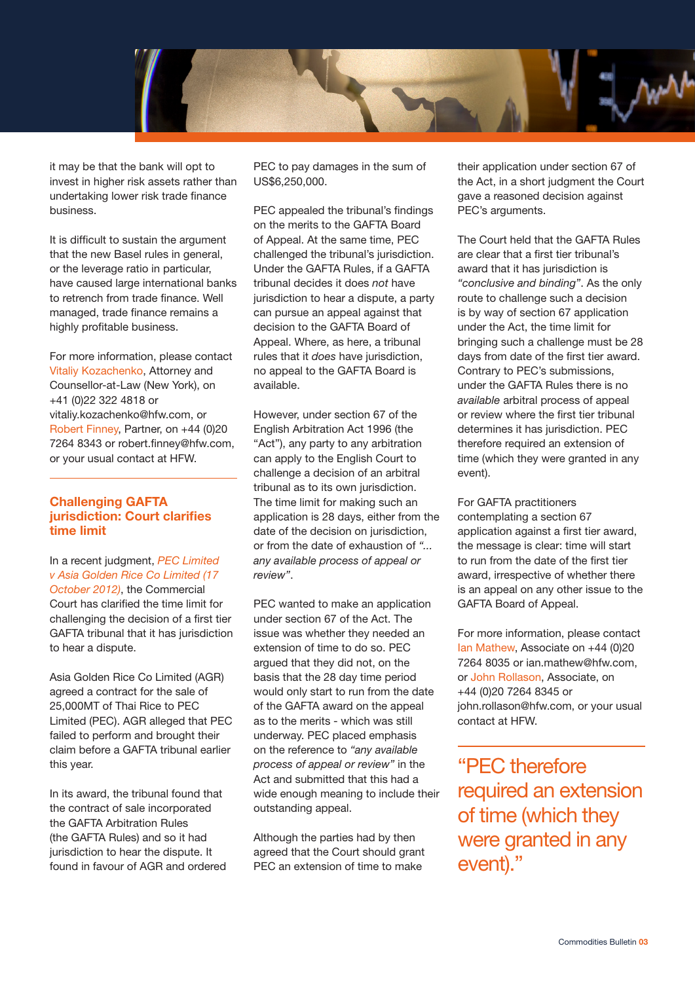

it may be that the bank will opt to invest in higher risk assets rather than undertaking lower risk trade finance business.

It is difficult to sustain the argument that the new Basel rules in general, or the leverage ratio in particular, have caused large international banks to retrench from trade finance. Well managed, trade finance remains a highly profitable business.

For more information, please contact Vitaliy Kozachenko, Attorney and Counsellor-at-Law (New York), on +41 (0)22 322 4818 or vitaliy.kozachenko@hfw.com, or Robert Finney, Partner, on +44 (0)20 7264 8343 or robert.finney@hfw.com, or your usual contact at HFW.

# **Challenging GAFTA jurisdiction: Court clarifies time limit**

In a recent judgment, *PEC Limited v Asia Golden Rice Co Limited (17 October 2012)*, the Commercial Court has clarified the time limit for challenging the decision of a first tier GAFTA tribunal that it has jurisdiction to hear a dispute.

Asia Golden Rice Co Limited (AGR) agreed a contract for the sale of 25,000MT of Thai Rice to PEC Limited (PEC). AGR alleged that PEC failed to perform and brought their claim before a GAFTA tribunal earlier this year.

In its award, the tribunal found that the contract of sale incorporated the GAFTA Arbitration Rules (the GAFTA Rules) and so it had jurisdiction to hear the dispute. It found in favour of AGR and ordered

PEC to pay damages in the sum of US\$6,250,000.

PEC appealed the tribunal's findings on the merits to the GAFTA Board of Appeal. At the same time, PEC challenged the tribunal's jurisdiction. Under the GAFTA Rules, if a GAFTA tribunal decides it does *not* have jurisdiction to hear a dispute, a party can pursue an appeal against that decision to the GAFTA Board of Appeal. Where, as here, a tribunal rules that it *does* have jurisdiction, no appeal to the GAFTA Board is available.

However, under section 67 of the English Arbitration Act 1996 (the "Act"), any party to any arbitration can apply to the English Court to challenge a decision of an arbitral tribunal as to its own jurisdiction. The time limit for making such an application is 28 days, either from the date of the decision on jurisdiction, or from the date of exhaustion of *"... any available process of appeal or review"*.

PEC wanted to make an application under section 67 of the Act. The issue was whether they needed an extension of time to do so. PEC argued that they did not, on the basis that the 28 day time period would only start to run from the date of the GAFTA award on the appeal as to the merits - which was still underway. PEC placed emphasis on the reference to *"any available process of appeal or review"* in the Act and submitted that this had a wide enough meaning to include their outstanding appeal.

Although the parties had by then agreed that the Court should grant PEC an extension of time to make

their application under section 67 of the Act, in a short judgment the Court gave a reasoned decision against PEC's arguments.

The Court held that the GAFTA Rules are clear that a first tier tribunal's award that it has jurisdiction is *"conclusive and binding"*. As the only route to challenge such a decision is by way of section 67 application under the Act, the time limit for bringing such a challenge must be 28 days from date of the first tier award. Contrary to PEC's submissions, under the GAFTA Rules there is no *available* arbitral process of appeal or review where the first tier tribunal determines it has jurisdiction. PEC therefore required an extension of time (which they were granted in any event).

For GAFTA practitioners contemplating a section 67 application against a first tier award, the message is clear: time will start to run from the date of the first tier award, irrespective of whether there is an appeal on any other issue to the GAFTA Board of Appeal.

For more information, please contact Ian Mathew, Associate on +44 (0)20 7264 8035 or ian.mathew@hfw.com, or John Rollason, Associate, on +44 (0)20 7264 8345 or john.rollason@hfw.com, or your usual contact at HFW.

"PEC therefore required an extension of time (which they were granted in any event)."